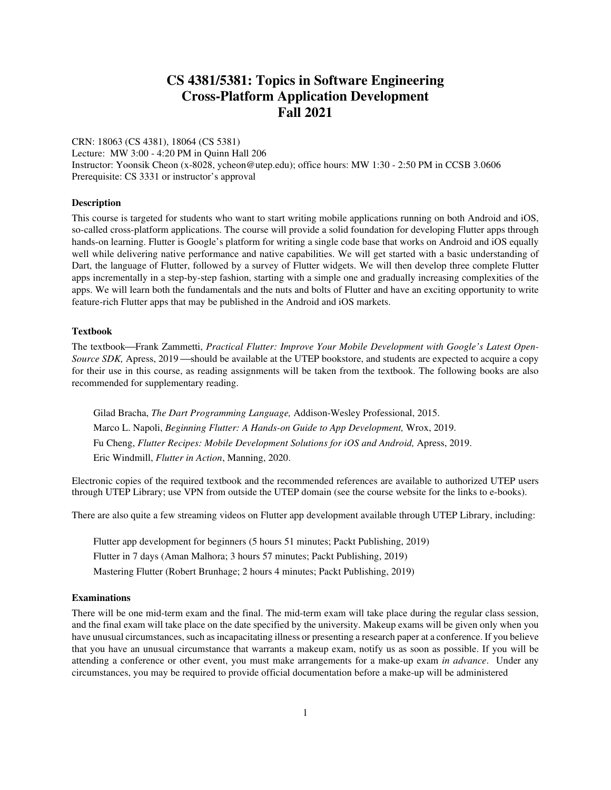# **CS 4381/5381: Topics in Software Engineering Cross-Platform Application Development Fall 2021**

CRN: 18063 (CS 4381), 18064 (CS 5381) Lecture: MW 3:00 - 4:20 PM in Quinn Hall 206 Instructor: Yoonsik Cheon (x-8028, ycheon@utep.edu); office hours: MW 1:30 - 2:50 PM in CCSB 3.0606 Prerequisite: CS 3331 or instructor's approval

## **Description**

This course is targeted for students who want to start writing mobile applications running on both Android and iOS, so-called cross-platform applications. The course will provide a solid foundation for developing Flutter apps through hands-on learning. Flutter is Google's platform for writing a single code base that works on Android and iOS equally well while delivering native performance and native capabilities. We will get started with a basic understanding of Dart, the language of Flutter, followed by a survey of Flutter widgets. We will then develop three complete Flutter apps incrementally in a step-by-step fashion, starting with a simple one and gradually increasing complexities of the apps. We will learn both the fundamentals and the nuts and bolts of Flutter and have an exciting opportunity to write feature-rich Flutter apps that may be published in the Android and iOS markets.

#### **Textbook**

The textbook—Frank Zammetti, *Practical Flutter: Improve Your Mobile Development with Google's Latest Open-Source SDK,* Apress, 2019—should be available at the UTEP bookstore, and students are expected to acquire a copy for their use in this course, as reading assignments will be taken from the textbook. The following books are also recommended for supplementary reading.

Gilad Bracha, *The Dart Programming Language,* Addison-Wesley Professional, 2015. Marco L. Napoli, *Beginning Flutter: A Hands-on Guide to App Development,* Wrox, 2019. Fu Cheng, *Flutter Recipes: Mobile Development Solutions for iOS and Android,* Apress, 2019. Eric Windmill, *Flutter in Action*, Manning, 2020.

Electronic copies of the required textbook and the recommended references are available to authorized UTEP users through UTEP Library; use VPN from outside the UTEP domain (see the course website for the links to e-books).

There are also quite a few streaming videos on Flutter app development available through UTEP Library, including:

Flutter app development for beginners (5 hours 51 minutes; Packt Publishing, 2019) Flutter in 7 days (Aman Malhora; 3 hours 57 minutes; Packt Publishing, 2019) Mastering Flutter (Robert Brunhage; 2 hours 4 minutes; Packt Publishing, 2019)

## **Examinations**

There will be one mid-term exam and the final. The mid-term exam will take place during the regular class session, and the final exam will take place on the date specified by the university. Makeup exams will be given only when you have unusual circumstances, such as incapacitating illness or presenting a research paper at a conference. If you believe that you have an unusual circumstance that warrants a makeup exam, notify us as soon as possible. If you will be attending a conference or other event, you must make arrangements for a make-up exam *in advance*. Under any circumstances, you may be required to provide official documentation before a make-up will be administered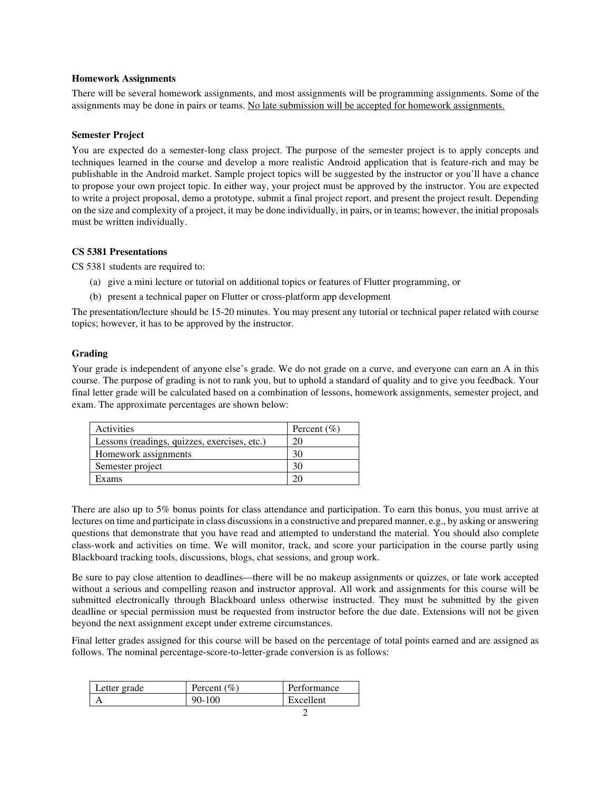#### **Homework Assignments**

There will be several homework assignments, and most assignments will be programming assignments. Some of the assignments may be done in pairs or teams. No late submission will be accepted for homework assignments.

#### **Semester Project**

You are expected do a semester-long class project. The purpose of the semester project is to apply concepts and techniques learned in the course and develop a more realistic Android application that is feature-rich and may be publishable in the Android market. Sample project topics will be suggested by the instructor or you'll have a chance to propose your own project topic. In either way, your project must be approved by the instructor. You are expected to write a project proposal, demo a prototype, submit a final project report, and present the project result. Depending on the size and complexity of a project, it may be done individually, in pairs, or in teams; however, the initial proposals must be written individually.

#### **CS 5381 Presentations**

CS 5381 students are required to:

- (a) give a mini lecture or tutorial on additional topics or features of Flutter programming, or
- (b) present a technical paper on Flutter or cross-platform app development

The presentation/lecture should be 15-20 minutes. You may present any tutorial or technical paper related with course topics; however, it has to be approved by the instructor.

#### **Grading**

Your grade is independent of anyone else's grade. We do not grade on a curve, and everyone can earn an A in this course. The purpose of grading is not to rank you, but to uphold a standard of quality and to give you feedback. Your final letter grade will be calculated based on a combination of lessons, homework assignments, semester project, and exam. The approximate percentages are shown below:

| Activities                                   | Percent $(\% )$ |
|----------------------------------------------|-----------------|
| Lessons (readings, quizzes, exercises, etc.) | $20^{\circ}$    |
| Homework assignments                         | 30              |
| Semester project                             |                 |
| Exams                                        |                 |

There are also up to 5% bonus points for class attendance and participation. To earn this bonus, you must arrive at lectures on time and participate in class discussions in a constructive and prepared manner, e.g., by asking or answering questions that demonstrate that you have read and attempted to understand the material. You should also complete class-work and activities on time. We will monitor, track, and score your participation in the course partly using Blackboard tracking tools, discussions, blogs, chat sessions, and group work.

Be sure to pay close attention to deadlines—there will be no makeup assignments or quizzes, or late work accepted without a serious and compelling reason and instructor approval. All work and assignments for this course will be submitted electronically through Blackboard unless otherwise instructed. They must be submitted by the given deadline or special permission must be requested from instructor before the due date. Extensions will not be given beyond the next assignment except under extreme circumstances.

Final letter grades assigned for this course will be based on the percentage of total points earned and are assigned as follows. The nominal percentage-score-to-letter-grade conversion is as follows:

| Letter grade | Percent $(\% )$ | Performance |
|--------------|-----------------|-------------|
|              | $90 - 100$      | Excellent   |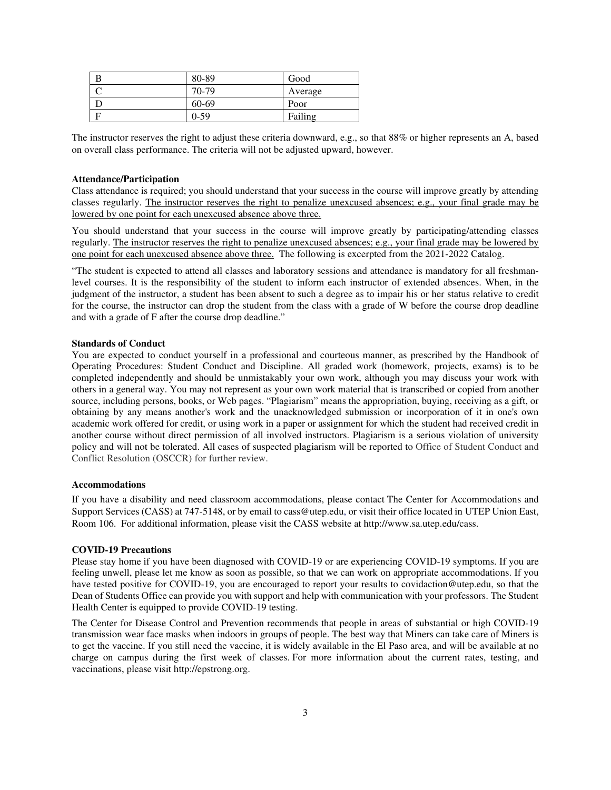| 80-89  | Good    |
|--------|---------|
| 70-79  | Average |
| 60-69  | Poor    |
| $0-59$ | Failing |

The instructor reserves the right to adjust these criteria downward, e.g., so that 88% or higher represents an A, based on overall class performance. The criteria will not be adjusted upward, however.

#### **Attendance/Participation**

Class attendance is required; you should understand that your success in the course will improve greatly by attending classes regularly. The instructor reserves the right to penalize unexcused absences; e.g., your final grade may be lowered by one point for each unexcused absence above three.

You should understand that your success in the course will improve greatly by participating/attending classes regularly. The instructor reserves the right to penalize unexcused absences; e.g., your final grade may be lowered by one point for each unexcused absence above three. The following is excerpted from the 2021-2022 Catalog.

"The student is expected to attend all classes and laboratory sessions and attendance is mandatory for all freshmanlevel courses. It is the responsibility of the student to inform each instructor of extended absences. When, in the judgment of the instructor, a student has been absent to such a degree as to impair his or her status relative to credit for the course, the instructor can drop the student from the class with a grade of W before the course drop deadline and with a grade of F after the course drop deadline."

#### **Standards of Conduct**

You are expected to conduct yourself in a professional and courteous manner, as prescribed by the Handbook of Operating Procedures: Student Conduct and Discipline. All graded work (homework, projects, exams) is to be completed independently and should be unmistakably your own work, although you may discuss your work with others in a general way. You may not represent as your own work material that is transcribed or copied from another source, including persons, books, or Web pages. "Plagiarism" means the appropriation, buying, receiving as a gift, or obtaining by any means another's work and the unacknowledged submission or incorporation of it in one's own academic work offered for credit, or using work in a paper or assignment for which the student had received credit in another course without direct permission of all involved instructors. Plagiarism is a serious violation of university policy and will not be tolerated. All cases of suspected plagiarism will be reported to Office of Student Conduct and Conflict Resolution (OSCCR) for further review.

#### **Accommodations**

If you have a disability and need classroom accommodations, please contact The Center for Accommodations and Support Services (CASS) at 747-5148, or by email to cass@utep.edu, or visit their office located in UTEP Union East, Room 106. For additional information, please visit the CASS website at http://www.sa.utep.edu/cass.

#### **COVID-19 Precautions**

Please stay home if you have been diagnosed with COVID-19 or are experiencing COVID-19 symptoms. If you are feeling unwell, please let me know as soon as possible, so that we can work on appropriate accommodations. If you have tested positive for COVID-19, you are encouraged to report your results to covidaction@utep.edu, so that the Dean of Students Office can provide you with support and help with communication with your professors. The Student Health Center is equipped to provide COVID-19 testing.

The Center for Disease Control and Prevention recommends that people in areas of substantial or high COVID-19 transmission wear face masks when indoors in groups of people. The best way that Miners can take care of Miners is to get the vaccine. If you still need the vaccine, it is widely available in the El Paso area, and will be available at no charge on campus during the first week of classes. For more information about the current rates, testing, and vaccinations, please visit http://epstrong.org.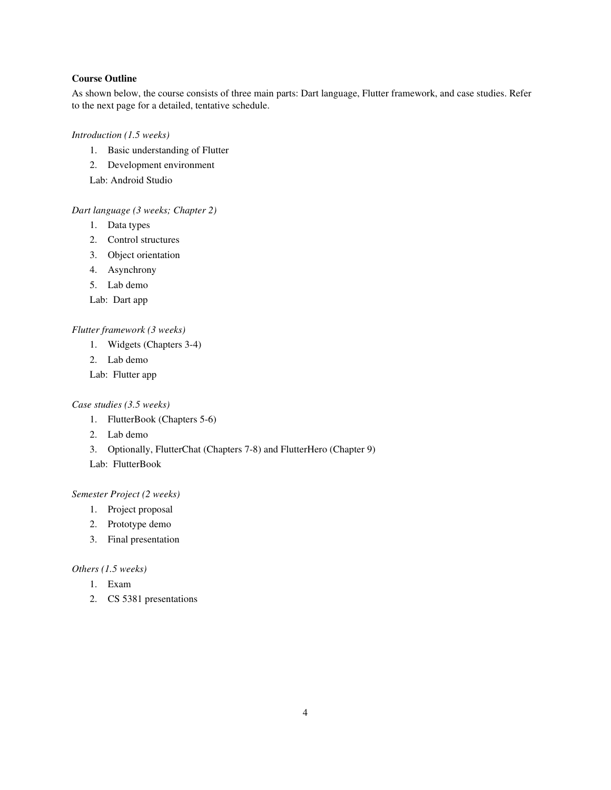## **Course Outline**

As shown below, the course consists of three main parts: Dart language, Flutter framework, and case studies. Refer to the next page for a detailed, tentative schedule.

*Introduction (1.5 weeks)* 

- 1. Basic understanding of Flutter
- 2. Development environment

Lab: Android Studio

### *Dart language (3 weeks; Chapter 2)*

- 1. Data types
- 2. Control structures
- 3. Object orientation
- 4. Asynchrony
- 5. Lab demo
- Lab: Dart app

## *Flutter framework (3 weeks)*

- 1. Widgets (Chapters 3-4)
- 2. Lab demo
- Lab: Flutter app

#### *Case studies (3.5 weeks)*

- 1. FlutterBook (Chapters 5-6)
- 2. Lab demo
- 3. Optionally, FlutterChat (Chapters 7-8) and FlutterHero (Chapter 9)
- Lab: FlutterBook

## *Semester Project (2 weeks)*

- 1. Project proposal
- 2. Prototype demo
- 3. Final presentation

### *Others (1.5 weeks)*

- 1. Exam
- 2. CS 5381 presentations